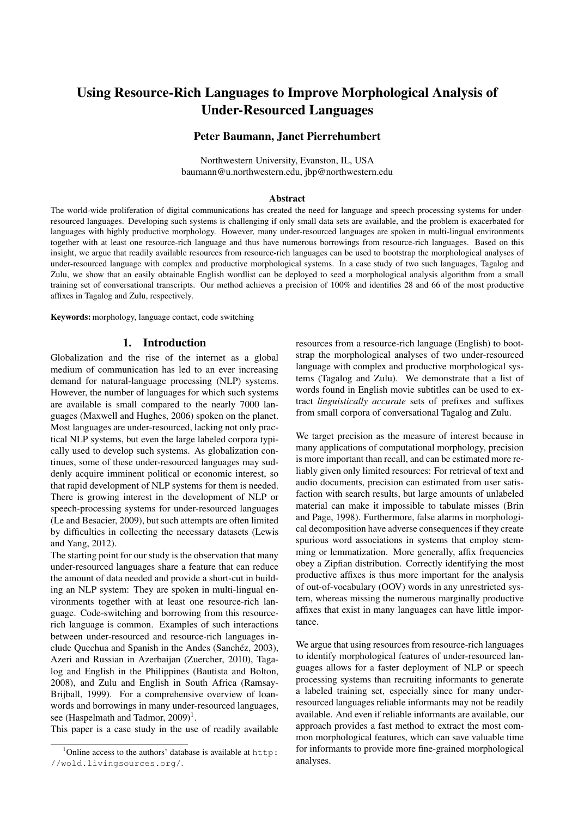# Using Resource-Rich Languages to Improve Morphological Analysis of Under-Resourced Languages

# Peter Baumann, Janet Pierrehumbert

Northwestern University, Evanston, IL, USA baumann@u.northwestern.edu, jbp@northwestern.edu

#### Abstract

The world-wide proliferation of digital communications has created the need for language and speech processing systems for underresourced languages. Developing such systems is challenging if only small data sets are available, and the problem is exacerbated for languages with highly productive morphology. However, many under-resourced languages are spoken in multi-lingual environments together with at least one resource-rich language and thus have numerous borrowings from resource-rich languages. Based on this insight, we argue that readily available resources from resource-rich languages can be used to bootstrap the morphological analyses of under-resourced language with complex and productive morphological systems. In a case study of two such languages, Tagalog and Zulu, we show that an easily obtainable English wordlist can be deployed to seed a morphological analysis algorithm from a small training set of conversational transcripts. Our method achieves a precision of 100% and identifies 28 and 66 of the most productive affixes in Tagalog and Zulu, respectively.

Keywords: morphology, language contact, code switching

#### 1. Introduction

Globalization and the rise of the internet as a global medium of communication has led to an ever increasing demand for natural-language processing (NLP) systems. However, the number of languages for which such systems are available is small compared to the nearly 7000 languages (Maxwell and Hughes, 2006) spoken on the planet. Most languages are under-resourced, lacking not only practical NLP systems, but even the large labeled corpora typically used to develop such systems. As globalization continues, some of these under-resourced languages may suddenly acquire imminent political or economic interest, so that rapid development of NLP systems for them is needed. There is growing interest in the development of NLP or speech-processing systems for under-resourced languages (Le and Besacier, 2009), but such attempts are often limited by difficulties in collecting the necessary datasets (Lewis and Yang, 2012).

The starting point for our study is the observation that many under-resourced languages share a feature that can reduce the amount of data needed and provide a short-cut in building an NLP system: They are spoken in multi-lingual environments together with at least one resource-rich language. Code-switching and borrowing from this resourcerich language is common. Examples of such interactions between under-resourced and resource-rich languages include Ouechua and Spanish in the Andes (Sanchéz, 2003), Azeri and Russian in Azerbaijan (Zuercher, 2010), Tagalog and English in the Philippines (Bautista and Bolton, 2008), and Zulu and English in South Africa (Ramsay-Brijball, 1999). For a comprehensive overview of loanwords and borrowings in many under-resourced languages, see (Haspelmath and Tadmor,  $2009$ <sup>1</sup>.

This paper is a case study in the use of readily available

resources from a resource-rich language (English) to bootstrap the morphological analyses of two under-resourced language with complex and productive morphological systems (Tagalog and Zulu). We demonstrate that a list of words found in English movie subtitles can be used to extract *linguistically accurate* sets of prefixes and suffixes from small corpora of conversational Tagalog and Zulu.

We target precision as the measure of interest because in many applications of computational morphology, precision is more important than recall, and can be estimated more reliably given only limited resources: For retrieval of text and audio documents, precision can estimated from user satisfaction with search results, but large amounts of unlabeled material can make it impossible to tabulate misses (Brin and Page, 1998). Furthermore, false alarms in morphological decomposition have adverse consequences if they create spurious word associations in systems that employ stemming or lemmatization. More generally, affix frequencies obey a Zipfian distribution. Correctly identifying the most productive affixes is thus more important for the analysis of out-of-vocabulary (OOV) words in any unrestricted system, whereas missing the numerous marginally productive affixes that exist in many languages can have little importance.

We argue that using resources from resource-rich languages to identify morphological features of under-resourced languages allows for a faster deployment of NLP or speech processing systems than recruiting informants to generate a labeled training set, especially since for many underresourced languages reliable informants may not be readily available. And even if reliable informants are available, our approach provides a fast method to extract the most common morphological features, which can save valuable time for informants to provide more fine-grained morphological analyses.

<sup>1</sup> Online access to the authors' database is available at http: //wold.livingsources.org/.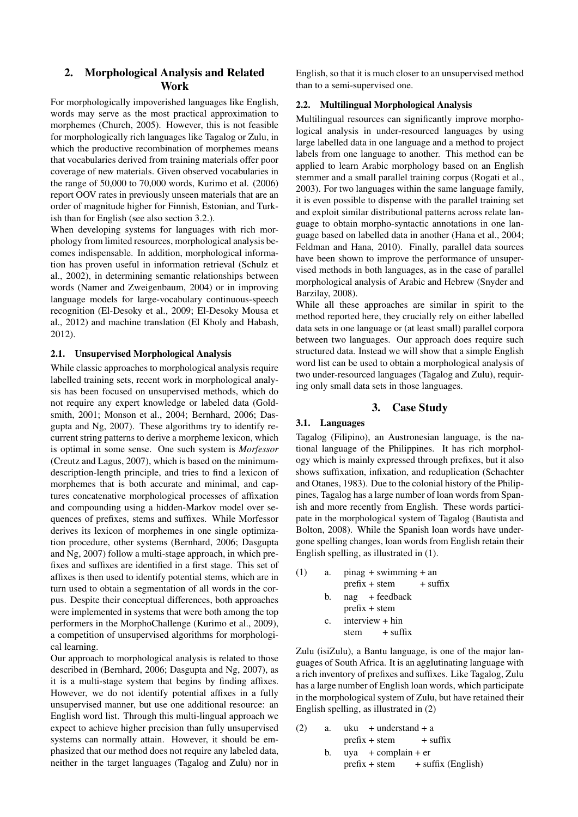# 2. Morphological Analysis and Related Work

For morphologically impoverished languages like English, words may serve as the most practical approximation to morphemes (Church, 2005). However, this is not feasible for morphologically rich languages like Tagalog or Zulu, in which the productive recombination of morphemes means that vocabularies derived from training materials offer poor coverage of new materials. Given observed vocabularies in the range of 50,000 to 70,000 words, Kurimo et al. (2006) report OOV rates in previously unseen materials that are an order of magnitude higher for Finnish, Estonian, and Turkish than for English (see also section 3.2.).

When developing systems for languages with rich morphology from limited resources, morphological analysis becomes indispensable. In addition, morphological information has proven useful in information retrieval (Schulz et al., 2002), in determining semantic relationships between words (Namer and Zweigenbaum, 2004) or in improving language models for large-vocabulary continuous-speech recognition (El-Desoky et al., 2009; El-Desoky Mousa et al., 2012) and machine translation (El Kholy and Habash, 2012).

#### 2.1. Unsupervised Morphological Analysis

While classic approaches to morphological analysis require labelled training sets, recent work in morphological analysis has been focused on unsupervised methods, which do not require any expert knowledge or labeled data (Goldsmith, 2001; Monson et al., 2004; Bernhard, 2006; Dasgupta and Ng, 2007). These algorithms try to identify recurrent string patterns to derive a morpheme lexicon, which is optimal in some sense. One such system is *Morfessor* (Creutz and Lagus, 2007), which is based on the minimumdescription-length principle, and tries to find a lexicon of morphemes that is both accurate and minimal, and captures concatenative morphological processes of affixation and compounding using a hidden-Markov model over sequences of prefixes, stems and suffixes. While Morfessor derives its lexicon of morphemes in one single optimization procedure, other systems (Bernhard, 2006; Dasgupta and Ng, 2007) follow a multi-stage approach, in which prefixes and suffixes are identified in a first stage. This set of affixes is then used to identify potential stems, which are in turn used to obtain a segmentation of all words in the corpus. Despite their conceptual differences, both approaches were implemented in systems that were both among the top performers in the MorphoChallenge (Kurimo et al., 2009), a competition of unsupervised algorithms for morphological learning.

Our approach to morphological analysis is related to those described in (Bernhard, 2006; Dasgupta and Ng, 2007), as it is a multi-stage system that begins by finding affixes. However, we do not identify potential affixes in a fully unsupervised manner, but use one additional resource: an English word list. Through this multi-lingual approach we expect to achieve higher precision than fully unsupervised systems can normally attain. However, it should be emphasized that our method does not require any labeled data, neither in the target languages (Tagalog and Zulu) nor in English, so that it is much closer to an unsupervised method than to a semi-supervised one.

#### 2.2. Multilingual Morphological Analysis

Multilingual resources can significantly improve morphological analysis in under-resourced languages by using large labelled data in one language and a method to project labels from one language to another. This method can be applied to learn Arabic morphology based on an English stemmer and a small parallel training corpus (Rogati et al., 2003). For two languages within the same language family, it is even possible to dispense with the parallel training set and exploit similar distributional patterns across relate language to obtain morpho-syntactic annotations in one language based on labelled data in another (Hana et al., 2004; Feldman and Hana, 2010). Finally, parallel data sources have been shown to improve the performance of unsupervised methods in both languages, as in the case of parallel morphological analysis of Arabic and Hebrew (Snyder and Barzilay, 2008).

While all these approaches are similar in spirit to the method reported here, they crucially rely on either labelled data sets in one language or (at least small) parallel corpora between two languages. Our approach does require such structured data. Instead we will show that a simple English word list can be used to obtain a morphological analysis of two under-resourced languages (Tagalog and Zulu), requiring only small data sets in those languages.

## 3. Case Study

# 3.1. Languages

Tagalog (Filipino), an Austronesian language, is the national language of the Philippines. It has rich morphology which is mainly expressed through prefixes, but it also shows suffixation, infixation, and reduplication (Schachter and Otanes, 1983). Due to the colonial history of the Philippines, Tagalog has a large number of loan words from Spanish and more recently from English. These words participate in the morphological system of Tagalog (Bautista and Bolton, 2008). While the Spanish loan words have undergone spelling changes, loan words from English retain their English spelling, as illustrated in (1).

| (1) | a.          | $pinag + swimming + an$       |  |  |  |  |
|-----|-------------|-------------------------------|--|--|--|--|
|     |             | $prefix + stem$<br>$+$ suffix |  |  |  |  |
|     | b.          | $nag$ + feedback              |  |  |  |  |
|     |             | $prefix + stem$               |  |  |  |  |
|     | $c_{\cdot}$ | $interview + hin$             |  |  |  |  |
|     |             | $stem$ + suffix               |  |  |  |  |
|     |             |                               |  |  |  |  |

Zulu (isiZulu), a Bantu language, is one of the major languages of South Africa. It is an agglutinating language with a rich inventory of prefixes and suffixes. Like Tagalog, Zulu has a large number of English loan words, which participate in the morphological system of Zulu, but have retained their English spelling, as illustrated in (2)

| (2) | a. |  | $uku + understand + a$   |                                    |
|-----|----|--|--------------------------|------------------------------------|
|     |    |  | $prefix + stem + suffix$ |                                    |
|     |    |  | b. $uya + complain + er$ |                                    |
|     |    |  |                          | $prefix + stem + suffix (English)$ |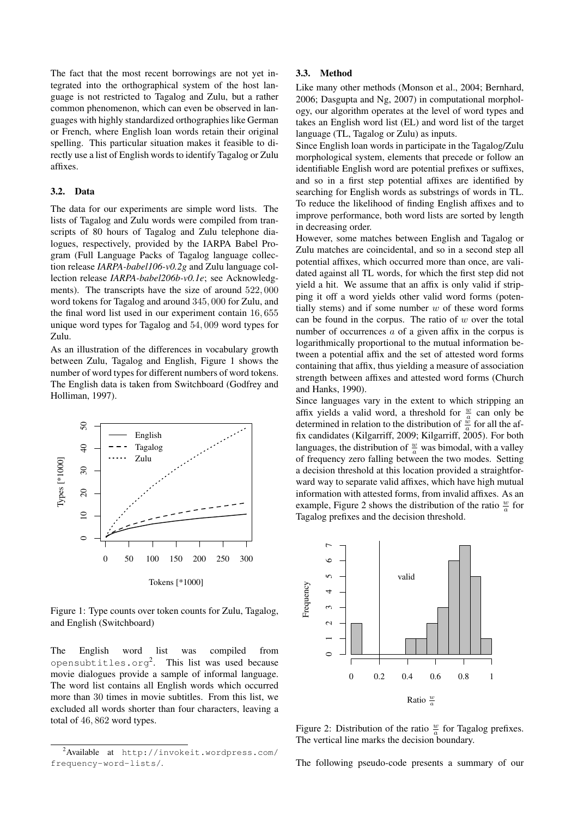The fact that the most recent borrowings are not yet integrated into the orthographical system of the host language is not restricted to Tagalog and Zulu, but a rather common phenomenon, which can even be observed in languages with highly standardized orthographies like German or French, where English loan words retain their original spelling. This particular situation makes it feasible to directly use a list of English words to identify Tagalog or Zulu affixes.

#### 3.2. Data

The data for our experiments are simple word lists. The lists of Tagalog and Zulu words were compiled from transcripts of 80 hours of Tagalog and Zulu telephone dialogues, respectively, provided by the IARPA Babel Program (Full Language Packs of Tagalog language collection release *IARPA-babel106-v0.2g* and Zulu language collection release *IARPA-babel206b-v0.1e*; see Acknowledgments). The transcripts have the size of around 522*,* 000 word tokens for Tagalog and around 345*,* 000 for Zulu, and the final word list used in our experiment contain 16*,* 655 unique word types for Tagalog and 54*,* 009 word types for Zulu.

As an illustration of the differences in vocabulary growth between Zulu, Tagalog and English, Figure 1 shows the number of word types for different numbers of word tokens. The English data is taken from Switchboard (Godfrey and Holliman, 1997).



Figure 1: Type counts over token counts for Zulu, Tagalog, and English (Switchboard)

The English word list was compiled from opensubtitles.org2. This list was used because movie dialogues provide a sample of informal language. The word list contains all English words which occurred more than 30 times in movie subtitles. From this list, we excluded all words shorter than four characters, leaving a total of 46*,* 862 word types.

#### 3.3. Method

Like many other methods (Monson et al., 2004; Bernhard, 2006; Dasgupta and Ng, 2007) in computational morphology, our algorithm operates at the level of word types and takes an English word list (EL) and word list of the target language (TL, Tagalog or Zulu) as inputs.

Since English loan words in participate in the Tagalog/Zulu morphological system, elements that precede or follow an identifiable English word are potential prefixes or suffixes, and so in a first step potential affixes are identified by searching for English words as substrings of words in TL. To reduce the likelihood of finding English affixes and to improve performance, both word lists are sorted by length in decreasing order.

However, some matches between English and Tagalog or Zulu matches are coincidental, and so in a second step all potential affixes, which occurred more than once, are validated against all TL words, for which the first step did not yield a hit. We assume that an affix is only valid if stripping it off a word yields other valid word forms (potentially stems) and if some number *w* of these word forms can be found in the corpus. The ratio of *w* over the total number of occurrences *a* of a given affix in the corpus is logarithmically proportional to the mutual information between a potential affix and the set of attested word forms containing that affix, thus yielding a measure of association strength between affixes and attested word forms (Church and Hanks, 1990).

Since languages vary in the extent to which stripping an affix yields a valid word, a threshold for  $\frac{w}{a}$  can only be determined in relation to the distribution of  $\frac{\dddot{w}}{a}$  for all the affix candidates (Kilgarriff, 2009; Kilgarriff, 2005). For both languages, the distribution of  $\frac{w}{a}$  was bimodal, with a valley of frequency zero falling between the two modes. Setting a decision threshold at this location provided a straightforward way to separate valid affixes, which have high mutual information with attested forms, from invalid affixes. As an example, Figure 2 shows the distribution of the ratio  $\frac{w}{a}$  for Tagalog prefixes and the decision threshold.



Figure 2: Distribution of the ratio  $\frac{w}{a}$  for Tagalog prefixes. The vertical line marks the decision boundary.

The following pseudo-code presents a summary of our

<sup>&</sup>lt;sup>2</sup> Available at http://invokeit.wordpress.com/ frequency-word-lists/.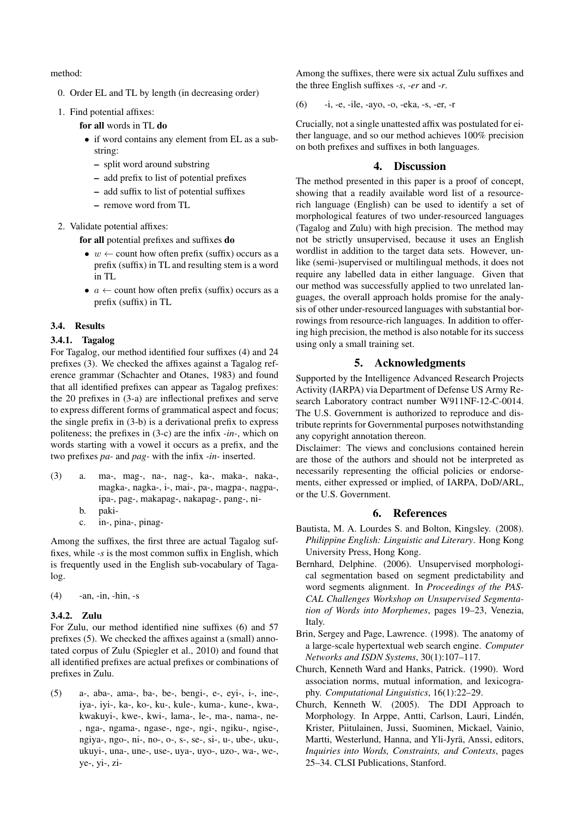method:

- 0. Order EL and TL by length (in decreasing order)
- 1. Find potential affixes:

for all words in TL do

- *•* if word contains any element from EL as a substring:
	- split word around substring
	- add prefix to list of potential prefixes
	- add suffix to list of potential suffixes
	- remove word from TL

2. Validate potential affixes:

for all potential prefixes and suffixes do

- $w \leftarrow$  count how often prefix (suffix) occurs as a prefix (suffix) in TL and resulting stem is a word in TL
- $a \leftarrow$  count how often prefix (suffix) occurs as a prefix (suffix) in TL

## 3.4. Results

#### 3.4.1. Tagalog

For Tagalog, our method identified four suffixes (4) and 24 prefixes (3). We checked the affixes against a Tagalog reference grammar (Schachter and Otanes, 1983) and found that all identified prefixes can appear as Tagalog prefixes: the 20 prefixes in (3-a) are inflectional prefixes and serve to express different forms of grammatical aspect and focus; the single prefix in (3-b) is a derivational prefix to express politeness; the prefixes in (3-c) are the infix *-in-*, which on words starting with a vowel it occurs as a prefix, and the two prefixes *pa-* and *pag-* with the infix *-in-* inserted.

- (3) a. ma-, mag-, na-, nag-, ka-, maka-, naka-, magka-, nagka-, i-, mai-, pa-, magpa-, nagpa-, ipa-, pag-, makapag-, nakapag-, pang-, ni
	- b. paki-
	- c. in-, pina-, pinag-

Among the suffixes, the first three are actual Tagalog suffixes, while *-s* is the most common suffix in English, which is frequently used in the English sub-vocabulary of Tagalog.

 $(4)$  -an, -in, -hin, -s

#### 3.4.2. Zulu

For Zulu, our method identified nine suffixes (6) and 57 prefixes (5). We checked the affixes against a (small) annotated corpus of Zulu (Spiegler et al., 2010) and found that all identified prefixes are actual prefixes or combinations of prefixes in Zulu.

(5) a-, aba-, ama-, ba-, be-, bengi-, e-, eyi-, i-, ine-, iya-, iyi-, ka-, ko-, ku-, kule-, kuma-, kune-, kwa-, kwakuyi-, kwe-, kwi-, lama-, le-, ma-, nama-, ne- , nga-, ngama-, ngase-, nge-, ngi-, ngiku-, ngise-, ngiya-, ngo-, ni-, no-, o-, s-, se-, si-, u-, ube-, uku-, ukuyi-, una-, une-, use-, uya-, uyo-, uzo-, wa-, we-, ye-, yi-, ziAmong the suffixes, there were six actual Zulu suffixes and the three English suffixes *-s*, *-er* and *-r*.

(6) -i, -e, -ile, -ayo, -o, -eka, -s, -er, -r

Crucially, not a single unattested affix was postulated for either language, and so our method achieves 100% precision on both prefixes and suffixes in both languages.

# 4. Discussion

The method presented in this paper is a proof of concept, showing that a readily available word list of a resourcerich language (English) can be used to identify a set of morphological features of two under-resourced languages (Tagalog and Zulu) with high precision. The method may not be strictly unsupervised, because it uses an English wordlist in addition to the target data sets. However, unlike (semi-)supervised or multilingual methods, it does not require any labelled data in either language. Given that our method was successfully applied to two unrelated languages, the overall approach holds promise for the analysis of other under-resourced languages with substantial borrowings from resource-rich languages. In addition to offering high precision, the method is also notable for its success using only a small training set.

# 5. Acknowledgments

Supported by the Intelligence Advanced Research Projects Activity (IARPA) via Department of Defense US Army Research Laboratory contract number W911NF-12-C-0014. The U.S. Government is authorized to reproduce and distribute reprints for Governmental purposes notwithstanding any copyright annotation thereon.

Disclaimer: The views and conclusions contained herein are those of the authors and should not be interpreted as necessarily representing the official policies or endorsements, either expressed or implied, of IARPA, DoD/ARL, or the U.S. Government.

#### 6. References

- Bautista, M. A. Lourdes S. and Bolton, Kingsley. (2008). *Philippine English: Linguistic and Literary*. Hong Kong University Press, Hong Kong.
- Bernhard, Delphine. (2006). Unsupervised morphological segmentation based on segment predictability and word segments alignment. In *Proceedings of the PAS-CAL Challenges Workshop on Unsupervised Segmentation of Words into Morphemes*, pages 19–23, Venezia, Italy.
- Brin, Sergey and Page, Lawrence. (1998). The anatomy of a large-scale hypertextual web search engine. *Computer Networks and ISDN Systems*, 30(1):107–117.
- Church, Kenneth Ward and Hanks, Patrick. (1990). Word association norms, mutual information, and lexicography. *Computational Linguistics*, 16(1):22–29.
- Church, Kenneth W. (2005). The DDI Approach to Morphology. In Arppe, Antti, Carlson, Lauri, Lindén, Krister, Piitulainen, Jussi, Suominen, Mickael, Vainio, Martti, Westerlund, Hanna, and Yli-Jyrä, Anssi, editors, *Inquiries into Words, Constraints, and Contexts*, pages 25–34. CLSI Publications, Stanford.